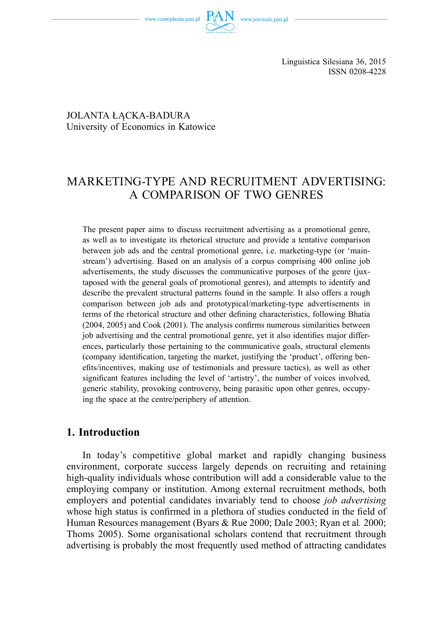

Linguistica Silesiana 36, 2015 ISSN 0208-4228

 JOLANTA ŁĄCKA-BADURA University of Economics in Katowice

# MARKETING-TYPE AND RECRUITMENT ADVERTISING: A COMPARISON OF TWO GENRES

The present paper aims to discuss recruitment advertising as a promotional genre, as well as to investigate its rhetorical structure and provide a tentative comparison between job ads and the central promotional genre, i.e. marketing-type (or 'mainstream') advertising. Based on an analysis of a corpus comprising 400 online job advertisements, the study discusses the communicative purposes of the genre (juxtaposed with the general goals of promotional genres), and attempts to identify and describe the prevalent structural patterns found in the sample. It also offers a rough comparison between job ads and prototypical/marketing-type advertisements in terms of the rhetorical structure and other defining characteristics, following Bhatia  $(2004, 2005)$  and Cook  $(2001)$ . The analysis confirms numerous similarities between job advertising and the central promotional genre, yet it also identifies major differences, particularly those pertaining to the communicative goals, structural elements (company identification, targeting the market, justifying the 'product', offering benefits/incentives, making use of testimonials and pressure tactics), as well as other significant features including the level of 'artistry', the number of voices involved, generic stability, provoking controversy, being parasitic upon other genres, occupying the space at the centre/periphery of attention.

## **1. Introduction**

In today's competitive global market and rapidly changing business environment, corporate success largely depends on recruiting and retaining high-quality individuals whose contribution will add a considerable value to the employing company or institution. Among external recruitment methods, both employers and potential candidates invariably tend to choose *job advertising*  whose high status is confirmed in a plethora of studies conducted in the field of Human Resources management (Byars & Rue 2000; Dale 2003; Ryan et al*.* 2000; Thoms 2005). Some organisational scholars contend that recruitment through advertising is probably the most frequently used method of attracting candidates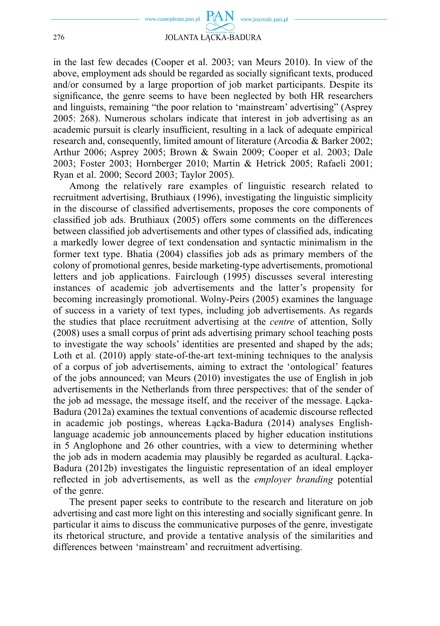

in the last few decades (Cooper et al. 2003; van Meurs 2010). In view of the above, employment ads should be regarded as socially significant texts, produced and/or consumed by a large proportion of job market participants. Despite its significance, the genre seems to have been neglected by both HR researchers and linguists, remaining "the poor relation to 'mainstream' advertising" (Asprey 2005: 268). Numerous scholars indicate that interest in job advertising as an academic pursuit is clearly insufficient, resulting in a lack of adequate empirical research and, consequently, limited amount of literature (Arcodia & Barker 2002; Arthur 2006; Asprey 2005; Brown & Swain 2009; Cooper et al. 2003; Dale 2003; Foster 2003; Hornberger 2010; Martin & Hetrick 2005; Rafaeli 2001; Ryan et al. 2000; Secord 2003; Taylor 2005).

Among the relatively rare examples of linguistic research related to recruitment advertising, Bruthiaux (1996), investigating the linguistic simplicity in the discourse of classified advertisements, proposes the core components of classified job ads. Bruthiaux (2005) offers some comments on the differences between classified job advertisements and other types of classified ads, indicating a markedly lower degree of text condensation and syntactic minimalism in the former text type. Bhatia (2004) classifies job ads as primary members of the colony of promotional genres, beside marketing-type advertisements, promotional letters and job applications. Fairclough (1995) discusses several interesting instances of academic job advertisements and the latter's propensity for becoming increasingly promotional. Wolny-Peirs (2005) examines the language of success in a variety of text types, including job advertisements. As regards the studies that place recruitment advertising at the *centre* of attention, Solly (2008) uses a small corpus of print ads advertising primary school teaching posts to investigate the way schools' identities are presented and shaped by the ads; Loth et al. (2010) apply state-of-the-art text-mining techniques to the analysis of a corpus of job advertisements, aiming to extract the 'ontological' features of the jobs announced; van Meurs (2010) investigates the use of English in job advertisements in the Netherlands from three perspectives: that of the sender of the job ad message, the message itself, and the receiver of the message. Łącka-Badura (2012a) examines the textual conventions of academic discourse reflected in academic job postings, whereas Łącka-Badura (2014) analyses Englishlanguage academic job announcements placed by higher education institutions in 5 Anglophone and 26 other countries, with a view to determining whether the job ads in modern academia may plausibly be regarded as acultural. Łącka-Badura (2012b) investigates the linguistic representation of an ideal employer reflected in job advertisements, as well as the *employer branding* potential of the genre.

The present paper seeks to contribute to the research and literature on job advertising and cast more light on this interesting and socially significant genre. In particular it aims to discuss the communicative purposes of the genre, investigate its rhetorical structure, and provide a tentative analysis of the similarities and differences between 'mainstream' and recruitment advertising.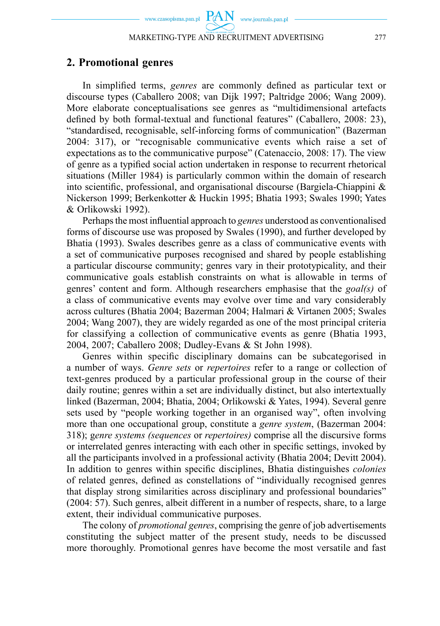$PAN$  www.journals.pan.pl

## **2. Promotional genres**

In simplified terms, *genres* are commonly defined as particular text or discourse types (Caballero 2008; van Dijk 1997; Paltridge 2006; Wang 2009). More elaborate conceptualisations see genres as "multidimensional artefacts defined by both formal-textual and functional features" (Caballero, 2008: 23), "standardised, recognisable, self-inforcing forms of communication" (Bazerman 2004: 317), or "recognisable communicative events which raise a set of expectations as to the communicative purpose" (Catenaccio, 2008: 17). The view of genre as a typified social action undertaken in response to recurrent rhetorical situations (Miller 1984) is particularly common within the domain of research into scientific, professional, and organisational discourse (Bargiela-Chiappini  $\&$ Nickerson 1999; Berkenkotter & Huckin 1995; Bhatia 1993; Swales 1990; Yates & Orlikowski 1992).

Perhaps the most influential approach to *genres* understood as conventionalised forms of discourse use was proposed by Swales (1990), and further developed by Bhatia (1993). Swales describes genre as a class of communicative events with a set of communicative purposes recognised and shared by people establishing a particular discourse community; genres vary in their prototypicality, and their communicative goals establish constraints on what is allowable in terms of genres' content and form. Although researchers emphasise that the *goal(s)* of a class of communicative events may evolve over time and vary considerably across cultures (Bhatia 2004; Bazerman 2004; Halmari & Virtanen 2005; Swales 2004; Wang 2007), they are widely regarded as one of the most principal criteria for classifying a collection of communicative events as genre (Bhatia 1993, 2004, 2007; Caballero 2008; Dudley-Evans & St John 1998).

Genres within specific disciplinary domains can be subcategorised in a number of ways. *Genre sets* or *repertoires* refer to a range or collection of text-genres produced by a particular professional group in the course of their daily routine; genres within a set are individually distinct, but also intertextually linked (Bazerman, 2004; Bhatia, 2004; Orlikowski & Yates, 1994). Several genre sets used by "people working together in an organised way", often involving more than one occupational group, constitute a *genre system*, (Bazerman 2004: 318); g*enre systems (sequences* or *repertoires)* comprise all the discursive forms or interrelated genres interacting with each other in specific settings, invoked by all the participants involved in a professional activity (Bhatia 2004; Devitt 2004). In addition to genres within specific disciplines, Bhatia distinguishes *colonies* of related genres, defined as constellations of "individually recognised genres that display strong similarities across disciplinary and professional boundaries" (2004: 57). Such genres, albeit different in a number of respects, share, to a large extent, their individual communicative purposes.

The colony of *promotional genres*, comprising the genre of job advertisements constituting the subject matter of the present study, needs to be discussed more thoroughly. Promotional genres have become the most versatile and fast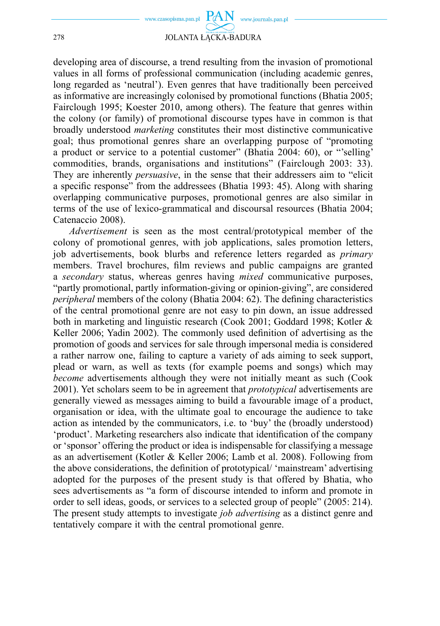

developing area of discourse, a trend resulting from the invasion of promotional values in all forms of professional communication (including academic genres, long regarded as 'neutral'). Even genres that have traditionally been perceived as informative are increasingly colonised by promotional functions (Bhatia 2005; Fairclough 1995; Koester 2010, among others). The feature that genres within the colony (or family) of promotional discourse types have in common is that broadly understood *marketing* constitutes their most distinctive communicative goal; thus promotional genres share an overlapping purpose of "promoting a product or service to a potential customer" (Bhatia 2004: 60), or "'selling' commodities, brands, organisations and institutions" (Fairclough 2003: 33). They are inherently *persuasive*, in the sense that their addressers aim to "elicit a specific response" from the addressees (Bhatia 1993: 45). Along with sharing overlapping communicative purposes, promotional genres are also similar in terms of the use of lexico-grammatical and discoursal resources (Bhatia 2004; Catenaccio 2008).

*Advertisement* is seen as the most central/prototypical member of the colony of promotional genres, with job applications, sales promotion letters, job advertisements, book blurbs and reference letters regarded as *primary* members. Travel brochures, film reviews and public campaigns are granted a *secondary* status, whereas genres having *mixed* communicative purposes, "partly promotional, partly information-giving or opinion-giving", are considered *peripheral* members of the colony (Bhatia 2004: 62). The defining characteristics of the central promotional genre are not easy to pin down, an issue addressed both in marketing and linguistic research (Cook 2001; Goddard 1998; Kotler & Keller 2006; Yadin 2002). The commonly used definition of advertising as the promotion of goods and services for sale through impersonal media is considered a rather narrow one, failing to capture a variety of ads aiming to seek support, plead or warn, as well as texts (for example poems and songs) which may *become* advertisements although they were not initially meant as such (Cook 2001). Yet scholars seem to be in agreement that *prototypical* advertisements are generally viewed as messages aiming to build a favourable image of a product, organisation or idea, with the ultimate goal to encourage the audience to take action as intended by the communicators, i.e. to 'buy' the (broadly understood) 'product'. Marketing researchers also indicate that identification of the company or 'sponsor' offering the product or idea is indispensable for classifying a message as an advertisement (Kotler & Keller 2006; Lamb et al. 2008). Following from the above considerations, the definition of prototypical/ 'mainstream' advertising adopted for the purposes of the present study is that offered by Bhatia, who sees advertisements as "a form of discourse intended to inform and promote in order to sell ideas, goods, or services to a selected group of people" (2005: 214). The present study attempts to investigate *job advertising* as a distinct genre and tentatively compare it with the central promotional genre.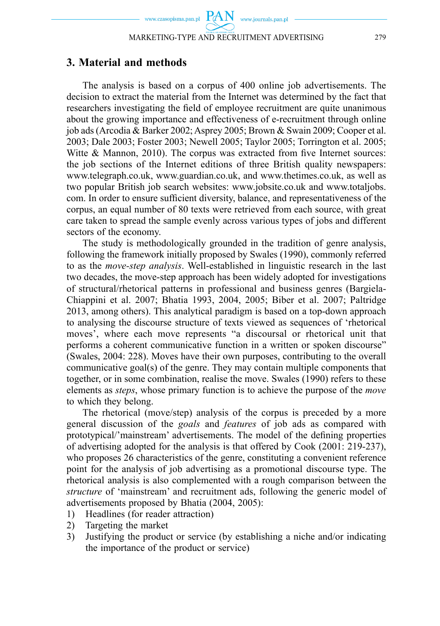## **3. Material and methods**

The analysis is based on a corpus of 400 online job advertisements. The decision to extract the material from the Internet was determined by the fact that researchers investigating the field of employee recruitment are quite unanimous about the growing importance and effectiveness of e-recruitment through online job ads (Arcodia & Barker 2002; Asprey 2005; Brown & Swain 2009; Cooper et al. 2003; Dale 2003; Foster 2003; Newell 2005; Taylor 2005; Torrington et al. 2005; Witte  $\&$  Mannon, 2010). The corpus was extracted from five Internet sources: the job sections of the Internet editions of three British quality newspapers: www.telegraph.co.uk, www.guardian.co.uk, and www.thetimes.co.uk, as well as two popular British job search websites: www.jobsite.co.uk and www.totaljobs. com. In order to ensure sufficient diversity, balance, and representativeness of the corpus, an equal number of 80 texts were retrieved from each source, with great care taken to spread the sample evenly across various types of jobs and different sectors of the economy.

The study is methodologically grounded in the tradition of genre analysis, following the framework initially proposed by Swales (1990), commonly referred to as the *move-step analysis*. Well-established in linguistic research in the last two decades, the move-step approach has been widely adopted for investigations of structural/rhetorical patterns in professional and business genres (Bargiela-Chiappini et al. 2007; Bhatia 1993, 2004, 2005; Biber et al. 2007; Paltridge 2013, among others). This analytical paradigm is based on a top-down approach to analysing the discourse structure of texts viewed as sequences of 'rhetorical moves', where each move represents "a discoursal or rhetorical unit that performs a coherent communicative function in a written or spoken discourse" (Swales, 2004: 228). Moves have their own purposes, contributing to the overall communicative goal(s) of the genre. They may contain multiple components that together, or in some combination, realise the move. Swales (1990) refers to these elements as *steps*, whose primary function is to achieve the purpose of the *move* to which they belong.

The rhetorical (move/step) analysis of the corpus is preceded by a more general discussion of the *goals* and *features* of job ads as compared with prototypical/'mainstream' advertisements. The model of the defining properties of advertising adopted for the analysis is that offered by Cook (2001: 219-237), who proposes 26 characteristics of the genre, constituting a convenient reference point for the analysis of job advertising as a promotional discourse type. The rhetorical analysis is also complemented with a rough comparison between the *structure* of 'mainstream' and recruitment ads, following the generic model of advertisements proposed by Bhatia (2004, 2005):

- 1) Headlines (for reader attraction)
- 2) Targeting the market
- 3) Justifying the product or service (by establishing a niche and/or indicating the importance of the product or service)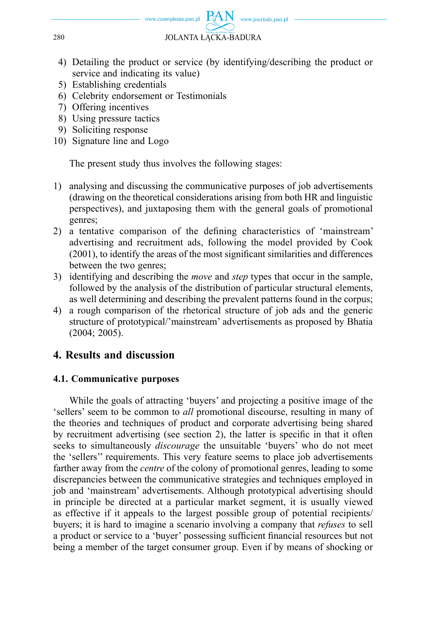

- 4) Detailing the product or service (by identifying/describing the product or service and indicating its value)
- 5) Establishing credentials
- 6) Celebrity endorsement or Testimonials
- 7) Offering incentives
- 8) Using pressure tactics
- 9) Soliciting response
- 10) Signature line and Logo

The present study thus involves the following stages:

- 1) analysing and discussing the communicative purposes of job advertisements (drawing on the theoretical considerations arising from both HR and linguistic perspectives), and juxtaposing them with the general goals of promotional genres;
- 2) a tentative comparison of the defining characteristics of 'mainstream' advertising and recruitment ads, following the model provided by Cook  $(2001)$ , to identify the areas of the most significant similarities and differences between the two genres;
- 3) identifying and describing the *move* and *step* types that occur in the sample, followed by the analysis of the distribution of particular structural elements, as well determining and describing the prevalent patterns found in the corpus;
- 4) a rough comparison of the rhetorical structure of job ads and the generic structure of prototypical/'mainstream' advertisements as proposed by Bhatia (2004; 2005).

# **4. Results and discussion**

## **4.1. Communicative purposes**

While the goals of attracting 'buyers' and projecting a positive image of the 'sellers' seem to be common to *all* promotional discourse, resulting in many of the theories and techniques of product and corporate advertising being shared by recruitment advertising (see section 2), the latter is specific in that it often seeks to simultaneously *discourage* the unsuitable 'buyers' who do not meet the 'sellers'' requirements. This very feature seems to place job advertisements farther away from the *centre* of the colony of promotional genres, leading to some discrepancies between the communicative strategies and techniques employed in job and 'mainstream' advertisements. Although prototypical advertising should in principle be directed at a particular market segment, it is usually viewed as effective if it appeals to the largest possible group of potential recipients/ buyers; it is hard to imagine a scenario involving a company that *refuses* to sell a product or service to a 'buyer' possessing sufficient financial resources but not being a member of the target consumer group. Even if by means of shocking or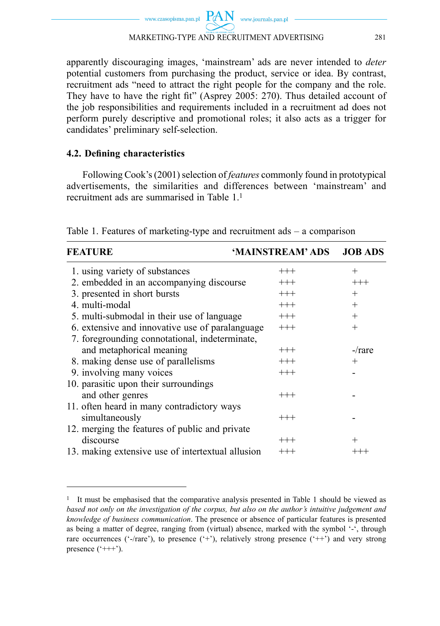$PAN$  www.journals.pan.pl www.czasopisma.pan.pl MARKETING-TYPE AND RECRUITMENT ADVERTISING 281

apparently discouraging images, 'mainstream' ads are never intended to *deter* potential customers from purchasing the product, service or idea. By contrast, recruitment ads "need to attract the right people for the company and the role. They have to have the right fit" (Asprey 2005: 270). Thus detailed account of the job responsibilities and requirements included in a recruitment ad does not perform purely descriptive and promotional roles; it also acts as a trigger for candidates' preliminary self-selection.

### **4.2. Defi ning characteristics**

Following Cook's (2001) selection of *features* commonly found in prototypical advertisements, the similarities and differences between 'mainstream' and recruitment ads are summarised in Table 1.1

| <b>FEATURE</b>                                    | 'MAINSTREAM' ADS | <b>JOB ADS</b> |
|---------------------------------------------------|------------------|----------------|
| 1. using variety of substances                    | $^{+++}$         | $+$            |
| 2. embedded in an accompanying discourse          | $^{+++}$         | $+++$          |
| 3. presented in short bursts                      | $+++$            | $+$            |
| 4. multi-modal                                    | $+++$            | $+$            |
| 5. multi-submodal in their use of language        | $+++$            | $+$            |
| 6. extensive and innovative use of paralanguage   | $+++$            | $+$            |
| 7. foregrounding connotational, indeterminate,    |                  |                |
| and metaphorical meaning                          | $^{+++}$         | $-\prime$ rare |
| 8. making dense use of parallelisms               | $^{+++}$         | $+$            |
| 9. involving many voices                          | $+++$            |                |
| 10. parasitic upon their surroundings             |                  |                |
| and other genres                                  | $^{+++}$         |                |
| 11. often heard in many contradictory ways        |                  |                |
| simultaneously                                    | $^{+++}$         |                |
| 12. merging the features of public and private    |                  |                |
| discourse                                         | $^{+++}$         | $^{+}$         |
| 13. making extensive use of intertextual allusion | $^{+++}$         |                |

Table 1. Features of marketing-type and recruitment ads – a comparison

<sup>1</sup> It must be emphasised that the comparative analysis presented in Table 1 should be viewed as *based not only on the investigation of the corpus, but also on the author's intuitive judgement and knowledge of business communication*. The presence or absence of particular features is presented as being a matter of degree, ranging from (virtual) absence, marked with the symbol '-', through rare occurrences ( $\cdot$ -/rare $\cdot$ ), to presence  $(\cdot + \cdot)$ , relatively strong presence  $(\cdot + \cdot)$  and very strong presence  $($  $^{\circ}$ +++ $^{\circ}$ ).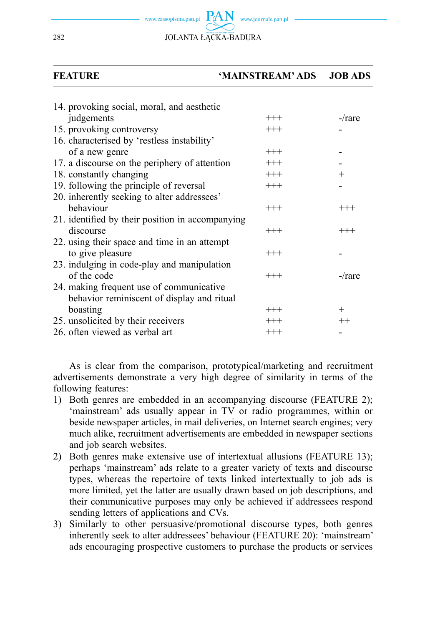www.journals.pan.pl 282 JOLANTA ŁĄCKA-BADURA

#### **FEATURE 'MAINSTREAM' ADS JOB ADS**

| 14. provoking social, moral, and aesthetic       |          |                |
|--------------------------------------------------|----------|----------------|
| judgements                                       | $+++$    | $-\prime$ rare |
| 15. provoking controversy                        | $+++$    |                |
| 16. characterised by 'restless instability'      |          |                |
| of a new genre                                   | $+++$    |                |
| 17. a discourse on the periphery of attention    | $+++$    |                |
| 18. constantly changing                          | $+++$    | $^{+}$         |
| 19. following the principle of reversal          | $+++$    |                |
| 20. inherently seeking to alter addressees'      |          |                |
| behaviour                                        | $+++$    | $+++$          |
| 21. identified by their position in accompanying |          |                |
| discourse                                        | $^{+++}$ | $^{+++}$       |
| 22. using their space and time in an attempt     |          |                |
| to give pleasure                                 | $+++$    |                |
| 23. indulging in code-play and manipulation      |          |                |
| of the code                                      | $+++$    | $-$ /rare      |
| 24. making frequent use of communicative         |          |                |
| behavior reminiscent of display and ritual       |          |                |
| boasting                                         | $+++$    | $^{+}$         |
| 25. unsolicited by their receivers               | $+++$    | $^{++}$        |
| 26. often viewed as verbal art                   | $+++$    |                |
|                                                  |          |                |

As is clear from the comparison, prototypical/marketing and recruitment advertisements demonstrate a very high degree of similarity in terms of the following features:

- 1) Both genres are embedded in an accompanying discourse (FEATURE 2); 'mainstream' ads usually appear in TV or radio programmes, within or beside newspaper articles, in mail deliveries, on Internet search engines; very much alike, recruitment advertisements are embedded in newspaper sections and job search websites.
- 2) Both genres make extensive use of intertextual allusions (FEATURE 13); perhaps 'mainstream' ads relate to a greater variety of texts and discourse types, whereas the repertoire of texts linked intertextually to job ads is more limited, yet the latter are usually drawn based on job descriptions, and their communicative purposes may only be achieved if addressees respond sending letters of applications and CVs.
- 3) Similarly to other persuasive/promotional discourse types, both genres inherently seek to alter addressees' behaviour (FEATURE 20): 'mainstream' ads encouraging prospective customers to purchase the products or services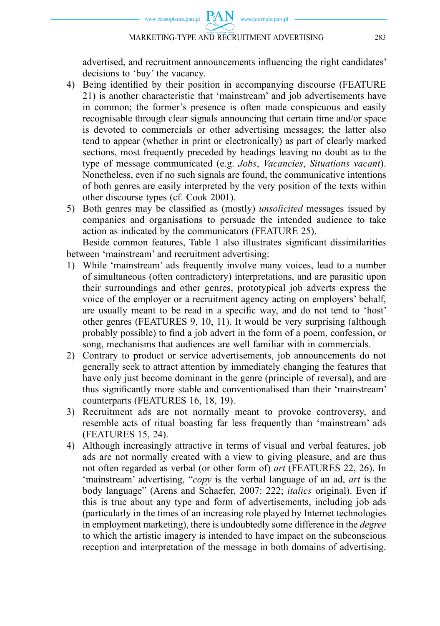www.czasopisma.pan.pl  $PAN$  www.journals.pan.pl

advertised, and recruitment announcements influencing the right candidates' decisions to 'buy' the vacancy.

- 4) Being identified by their position in accompanying discourse (FEATURE 21) is another characteristic that 'mainstream' and job advertisements have in common; the former's presence is often made conspicuous and easily recognisable through clear signals announcing that certain time and/or space is devoted to commercials or other advertising messages; the latter also tend to appear (whether in print or electronically) as part of clearly marked sections, most frequently preceded by headings leaving no doubt as to the type of message communicated (e.g. *Jobs*, *Vacancies*, *Situations vacant*). Nonetheless, even if no such signals are found, the communicative intentions of both genres are easily interpreted by the very position of the texts within other discourse types (cf. Cook 2001).
- 5) Both genres may be classified as (mostly) *unsolicited* messages issued by companies and organisations to persuade the intended audience to take action as indicated by the communicators (FEATURE 25).

Beside common features, Table 1 also illustrates significant dissimilarities between 'mainstream' and recruitment advertising:

- 1) While 'mainstream' ads frequently involve many voices, lead to a number of simultaneous (often contradictory) interpretations, and are parasitic upon their surroundings and other genres, prototypical job adverts express the voice of the employer or a recruitment agency acting on employers' behalf, are usually meant to be read in a specific way, and do not tend to 'host' other genres (FEATURES 9, 10, 11). It would be very surprising (although probably possible) to find a job advert in the form of a poem, confession, or song, mechanisms that audiences are well familiar with in commercials.
- 2) Contrary to product or service advertisements, job announcements do not generally seek to attract attention by immediately changing the features that have only just become dominant in the genre (principle of reversal), and are thus signifi cantly more stable and conventionalised than their 'mainstream' counterparts (FEATURES 16, 18, 19).
- 3) Recruitment ads are not normally meant to provoke controversy, and resemble acts of ritual boasting far less frequently than 'mainstream' ads (FEATURES 15, 24).
- 4) Although increasingly attractive in terms of visual and verbal features, job ads are not normally created with a view to giving pleasure, and are thus not often regarded as verbal (or other form of) *art* (FEATURES 22, 26). In 'mainstream' advertising, "*copy* is the verbal language of an ad, *art* is the body language" (Arens and Schaefer, 2007: 222; *italics* original). Even if this is true about any type and form of advertisements, including job ads (particularly in the times of an increasing role played by Internet technologies in employment marketing), there is undoubtedly some difference in the *degree* to which the artistic imagery is intended to have impact on the subconscious reception and interpretation of the message in both domains of advertising.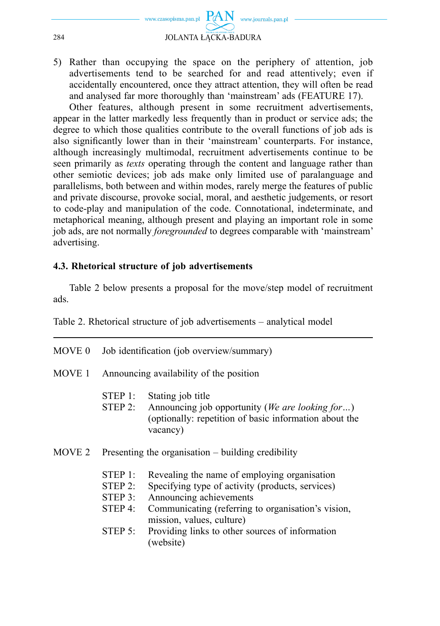

5) Rather than occupying the space on the periphery of attention, job advertisements tend to be searched for and read attentively; even if accidentally encountered, once they attract attention, they will often be read and analysed far more thoroughly than 'mainstream' ads (FEATURE 17).

Other features, although present in some recruitment advertisements, appear in the latter markedly less frequently than in product or service ads; the degree to which those qualities contribute to the overall functions of job ads is also significantly lower than in their 'mainstream' counterparts. For instance, although increasingly multimodal, recruitment advertisements continue to be seen primarily as *texts* operating through the content and language rather than other semiotic devices; job ads make only limited use of paralanguage and parallelisms, both between and within modes, rarely merge the features of public and private discourse, provoke social, moral, and aesthetic judgements, or resort to code-play and manipulation of the code. Connotational, indeterminate, and metaphorical meaning, although present and playing an important role in some job ads, are not normally *foregrounded* to degrees comparable with 'mainstream' advertising.

#### **4.3. Rhetorical structure of job advertisements**

Table 2 below presents a proposal for the move/step model of recruitment ads.

Table 2. Rhetorical structure of job advertisements – analytical model

| MOVE 0 | Job identification (job overview/summary) |                                                                                                                                                                                                                |  |
|--------|-------------------------------------------|----------------------------------------------------------------------------------------------------------------------------------------------------------------------------------------------------------------|--|
| MOVE 1 | Announcing availability of the position   |                                                                                                                                                                                                                |  |
|        | STEP 1:<br>STEP 2:                        | Stating job title<br>Announcing job opportunity ( <i>We are looking for</i> )<br>(optionally: repetition of basic information about the<br>vacancy)                                                            |  |
| MOVE 2 |                                           | Presenting the organisation $-$ building credibility                                                                                                                                                           |  |
|        | STEP 1:<br>STEP 2:<br>STEP 3:<br>STEP 4:  | Revealing the name of employing organisation<br>Specifying type of activity (products, services)<br>Announcing achievements<br>Communicating (referring to organisation's vision,<br>mission, values, culture) |  |

STEP 5: Providing links to other sources of information (website)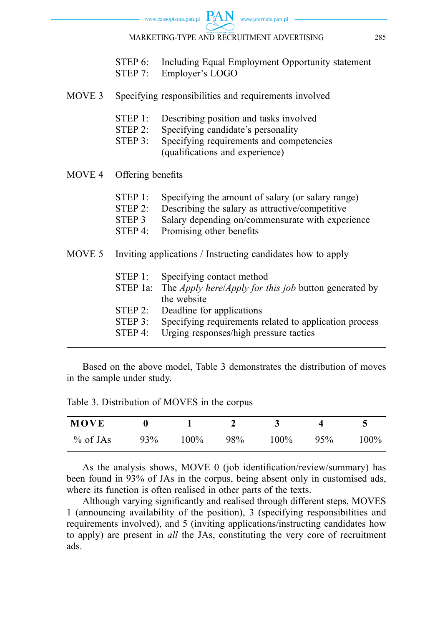|  | STEP 6: Including Equal Employment Opportunity statement<br>STEP 7: Employer's LOGO |
|--|-------------------------------------------------------------------------------------|
|  | MOVE 3 Specifying responsibilities and requirements involved                        |
|  | STEP 1: Describing position and tasks involved                                      |

- STEP 2: Specifying candidate's personality
- STEP 3: Specifying requirements and competencies (qualifications and experience)
- MOVE 4 Offering benefits

|  | STEP 1: Specifying the amount of salary (or salary range) |  |
|--|-----------------------------------------------------------|--|
|--|-----------------------------------------------------------|--|

- STEP 2: Describing the salary as attractive/competitive
- STEP 3 Salary depending on/commensurate with experience
- STEP 4: Promising other benefits
- MOVE 5 Inviting applications / Instructing candidates how to apply
	- STEP 1: Specifying contact method
	- STEP 1a: The *Apply here*/*Apply for this job* button generated by the website
	- STEP 2: Deadline for applications
	- STEP 3: Specifying requirements related to application process
	- STEP 4: Urging responses/high pressure tactics

Based on the above model, Table 3 demonstrates the distribution of moves in the sample under study.

Table 3. Distribution of MOVES in the corpus

| MOVE       |     |         |     |         |     |         |
|------------|-----|---------|-----|---------|-----|---------|
| $%$ of JAs | 93% | $100\%$ | 98% | $100\%$ | 95% | $100\%$ |

As the analysis shows, MOVE  $0$  (job identification/review/summary) has been found in 93% of JAs in the corpus, being absent only in customised ads, where its function is often realised in other parts of the texts.

Although varying significantly and realised through different steps, MOVES 1 (announcing availability of the position), 3 (specifying responsibilities and requirements involved), and 5 (inviting applications/instructing candidates how to apply) are present in *all* the JAs, constituting the very core of recruitment ads.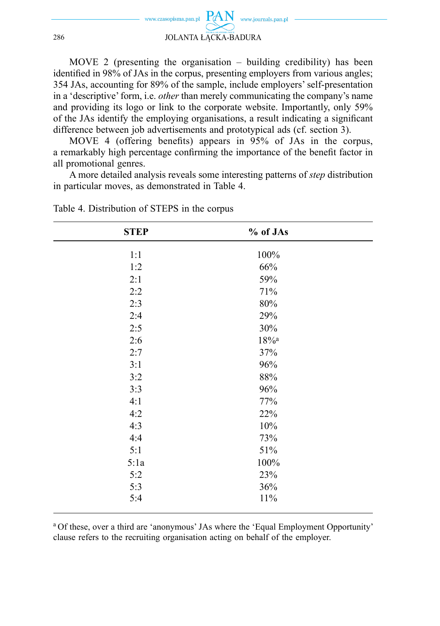

MOVE 2 (presenting the organisation – building credibility) has been identified in 98% of JAs in the corpus, presenting employers from various angles; 354 JAs, accounting for 89% of the sample, include employers' self-presentation in a 'descriptive' form, i.e. *other* than merely communicating the company's name and providing its logo or link to the corporate website. Importantly, only 59% of the JAs identify the employing organisations, a result indicating a significant difference between job advertisements and prototypical ads (cf. section 3).

MOVE 4 (offering benefits) appears in  $95\%$  of JAs in the corpus, a remarkably high percentage confirming the importance of the benefit factor in all promotional genres.

A more detailed analysis reveals some interesting patterns of *step* distribution in particular moves, as demonstrated in Table 4.

| <b>STEP</b> | % of JAs            |  |
|-------------|---------------------|--|
| 1:1         | 100%                |  |
| 1:2         | 66%                 |  |
| 2:1         | 59%                 |  |
| 2:2         | 71%                 |  |
| 2:3         | 80%                 |  |
| 2:4         | 29%                 |  |
| 2:5         | 30%                 |  |
| 2:6         | $18\%$ <sup>a</sup> |  |
| 2:7         | 37%                 |  |
| 3:1         | 96%                 |  |
| 3:2         | $88\%$              |  |
| 3:3         | 96%                 |  |
| 4:1         | 77%                 |  |
| 4:2         | 22%                 |  |
| 4:3         | 10%                 |  |
| 4:4         | 73%                 |  |
| 5:1         | 51%                 |  |
| 5:1a        | 100%                |  |
| 5:2         | 23%                 |  |
| 5:3         | 36%                 |  |
| 5:4         | 11%                 |  |

Table 4. Distribution of STEPS in the corpus

<sup>a</sup> Of these, over a third are 'anonymous' JAs where the 'Equal Employment Opportunity' clause refers to the recruiting organisation acting on behalf of the employer.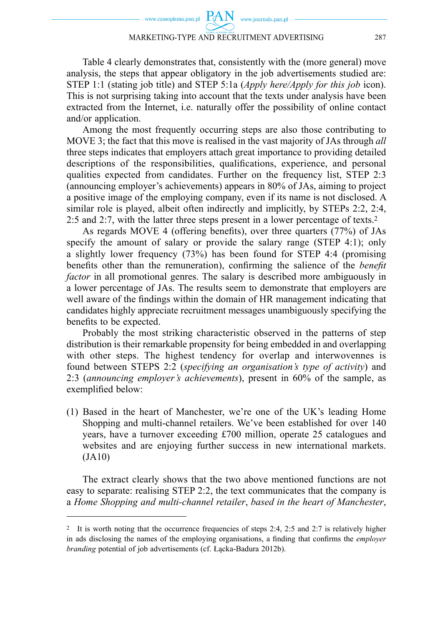#### MARKETING-TYPE AND RECRUITMENT ADVERTISING 287

Table 4 clearly demonstrates that, consistently with the (more general) move analysis, the steps that appear obligatory in the job advertisements studied are: STEP 1:1 (stating job title) and STEP 5:1a (*Apply here/Apply for this job* icon). This is not surprising taking into account that the texts under analysis have been extracted from the Internet, i.e. naturally offer the possibility of online contact and/or application.

Among the most frequently occurring steps are also those contributing to MOVE 3; the fact that this move is realised in the vast majority of JAs through *all* three steps indicates that employers attach great importance to providing detailed descriptions of the responsibilities, qualifications, experience, and personal qualities expected from candidates. Further on the frequency list, STEP 2:3 (announcing employer's achievements) appears in 80% of JAs, aiming to project a positive image of the employing company, even if its name is not disclosed. A similar role is played, albeit often indirectly and implicitly, by STEPs 2:2, 2:4, 2:5 and 2:7, with the latter three steps present in a lower percentage of texts.2

As regards MOVE 4 (offering benefits), over three quarters  $(77%)$  of JAs specify the amount of salary or provide the salary range (STEP 4:1); only a slightly lower frequency (73%) has been found for STEP 4:4 (promising benefits other than the remuneration), confirming the salience of the *benefit factor* in all promotional genres. The salary is described more ambiguously in a lower percentage of JAs. The results seem to demonstrate that employers are well aware of the findings within the domain of HR management indicating that candidates highly appreciate recruitment messages unambiguously specifying the benefits to be expected.

Probably the most striking characteristic observed in the patterns of step distribution is their remarkable propensity for being embedded in and overlapping with other steps. The highest tendency for overlap and interwovennes is found between STEPS 2:2 (*specifying an organisation's type of activity*) and 2:3 (*announcing employer's achievements*), present in 60% of the sample, as exemplified below:

(1) Based in the heart of Manchester, we're one of the UK's leading Home Shopping and multi-channel retailers. We've been established for over 140 years, have a turnover exceeding £700 million, operate 25 catalogues and websites and are enjoying further success in new international markets. (JA10)

The extract clearly shows that the two above mentioned functions are not easy to separate: realising STEP 2:2, the text communicates that the company is a *Home Shopping and multi-channel retailer*, *based in the heart of Manchester*,

<sup>2</sup> It is worth noting that the occurrence frequencies of steps 2:4, 2:5 and 2:7 is relatively higher in ads disclosing the names of the employing organisations, a finding that confirms the *employer branding* potential of job advertisements (cf. Łącka-Badura 2012b).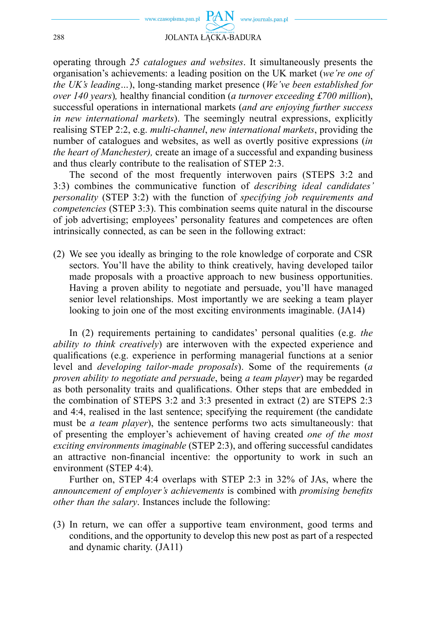

operating through *25 catalogues and websites*. It simultaneously presents the organisation's achievements: a leading position on the UK market (*we're one of the UK's leading…*), long-standing market presence (*We've been established for over 140 years*), healthy financial condition (*a turnover exceeding £700 million*), successful operations in international markets (*and are enjoying further success in new international markets*). The seemingly neutral expressions, explicitly realising STEP 2:2, e.g. *multi-channel*, *new international markets*, providing the number of catalogues and websites, as well as overtly positive expressions (*in the heart of Manchester),* create an image of a successful and expanding business and thus clearly contribute to the realisation of STEP 2:3.

The second of the most frequently interwoven pairs (STEPS 3:2 and 3:3) combines the communicative function of *describing ideal candidates' personality* (STEP 3:2) with the function of *specifying job requirements and competencies* (STEP 3:3). This combination seems quite natural in the discourse of job advertising; employees' personality features and competences are often intrinsically connected, as can be seen in the following extract:

(2) We see you ideally as bringing to the role knowledge of corporate and CSR sectors. You'll have the ability to think creatively, having developed tailor made proposals with a proactive approach to new business opportunities. Having a proven ability to negotiate and persuade, you'll have managed senior level relationships. Most importantly we are seeking a team player looking to join one of the most exciting environments imaginable. (JA14)

In (2) requirements pertaining to candidates' personal qualities (e.g. *the ability to think creatively*) are interwoven with the expected experience and qualifications (e.g. experience in performing managerial functions at a senior level and *developing tailor-made proposals*). Some of the requirements (*a proven ability to negotiate and persuade*, being *a team player*) may be regarded as both personality traits and qualifications. Other steps that are embedded in the combination of STEPS 3:2 and 3:3 presented in extract (2) are STEPS 2:3 and 4:4, realised in the last sentence; specifying the requirement (the candidate must be *a team player*), the sentence performs two acts simultaneously: that of presenting the employer's achievement of having created *one of the most exciting environments imaginable* (STEP 2:3), and offering successful candidates an attractive non-financial incentive: the opportunity to work in such an environment (STEP 4:4).

Further on, STEP 4:4 overlaps with STEP 2:3 in 32% of JAs, where the *announcement of employer's achievements* is combined with *promising benefits other than the salary*. Instances include the following:

(3) In return, we can offer a supportive team environment, good terms and conditions, and the opportunity to develop this new post as part of a respected and dynamic charity. (JA11)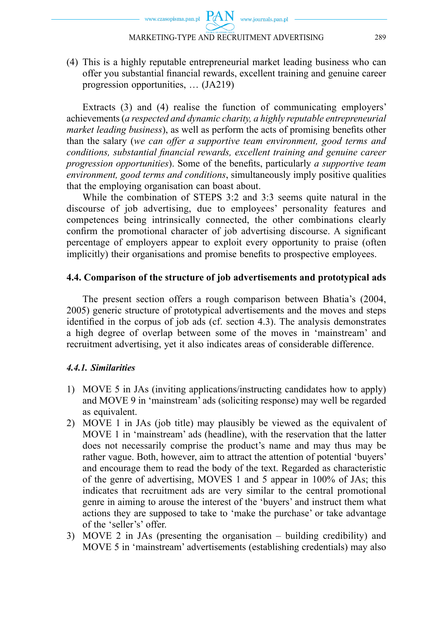#### MARKETING-TYPE AND RECRUITMENT ADVERTISING 289

(4) This is a highly reputable entrepreneurial market leading business who can offer you substantial financial rewards, excellent training and genuine career progression opportunities, … (JA219)

Extracts (3) and (4) realise the function of communicating employers' achievements (*a respected and dynamic charity, a highly reputable entrepreneurial market leading business*), as well as perform the acts of promising benefits other than the salary (*we can offer a supportive team environment, good terms and*  conditions, substantial financial rewards, excellent training and genuine career *progression opportunities*). Some of the benefits, particularly *a supportive team environment, good terms and conditions*, simultaneously imply positive qualities that the employing organisation can boast about.

While the combination of STEPS 3:2 and 3:3 seems quite natural in the discourse of job advertising, due to employees' personality features and competences being intrinsically connected, the other combinations clearly confirm the promotional character of job advertising discourse. A significant percentage of employers appear to exploit every opportunity to praise (often implicitly) their organisations and promise benefits to prospective employees.

### **4.4. Comparison of the structure of job advertisements and prototypical ads**

The present section offers a rough comparison between Bhatia's (2004, 2005) generic structure of prototypical advertisements and the moves and steps identified in the corpus of job ads (cf. section  $4.3$ ). The analysis demonstrates a high degree of overlap between some of the moves in 'mainstream' and recruitment advertising, yet it also indicates areas of considerable difference.

#### *4.4.1. Similarities*

- 1) MOVE 5 in JAs (inviting applications/instructing candidates how to apply) and MOVE 9 in 'mainstream' ads (soliciting response) may well be regarded as equivalent.
- 2) MOVE 1 in JAs (job title) may plausibly be viewed as the equivalent of MOVE 1 in 'mainstream' ads (headline), with the reservation that the latter does not necessarily comprise the product's name and may thus may be rather vague. Both, however, aim to attract the attention of potential 'buyers' and encourage them to read the body of the text. Regarded as characteristic of the genre of advertising, MOVES 1 and 5 appear in 100% of JAs; this indicates that recruitment ads are very similar to the central promotional genre in aiming to arouse the interest of the 'buyers' and instruct them what actions they are supposed to take to 'make the purchase' or take advantage of the 'seller's' offer.
- 3) MOVE 2 in JAs (presenting the organisation building credibility) and MOVE 5 in 'mainstream' advertisements (establishing credentials) may also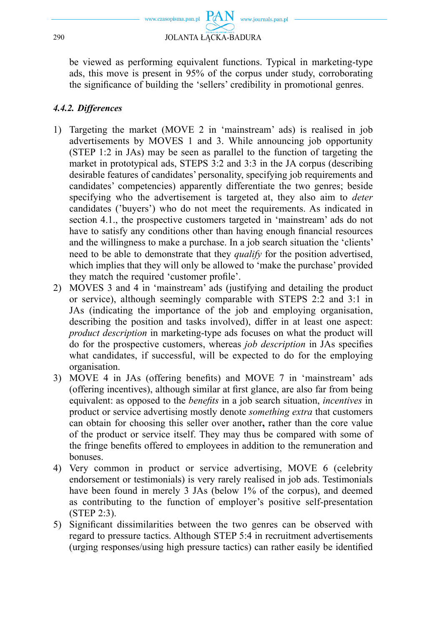

be viewed as performing equivalent functions. Typical in marketing-type ads, this move is present in 95% of the corpus under study, corroborating the significance of building the 'sellers' credibility in promotional genres.

# *4.4.2. Differences*

- 1) Targeting the market (MOVE 2 in 'mainstream' ads) is realised in job advertisements by MOVES 1 and 3. While announcing job opportunity (STEP 1:2 in JAs) may be seen as parallel to the function of targeting the market in prototypical ads, STEPS 3:2 and 3:3 in the JA corpus (describing desirable features of candidates' personality, specifying job requirements and candidates' competencies) apparently differentiate the two genres; beside specifying who the advertisement is targeted at, they also aim to *deter* candidates ('buyers') who do not meet the requirements. As indicated in section 4.1., the prospective customers targeted in 'mainstream' ads do not have to satisfy any conditions other than having enough financial resources and the willingness to make a purchase. In a job search situation the 'clients' need to be able to demonstrate that they *qualify* for the position advertised, which implies that they will only be allowed to 'make the purchase' provided they match the required 'customer profile'.
- 2) MOVES 3 and 4 in 'mainstream' ads (justifying and detailing the product or service), although seemingly comparable with STEPS 2:2 and 3:1 in JAs (indicating the importance of the job and employing organisation, describing the position and tasks involved), differ in at least one aspect: *product description* in marketing-type ads focuses on what the product will do for the prospective customers, whereas *job description* in JAs specifies what candidates, if successful, will be expected to do for the employing organisation.
- 3) MOVE 4 in JAs (offering benefits) and MOVE 7 in 'mainstream' ads (offering incentives), although similar at first glance, are also far from being equivalent: as opposed to the *benefits* in a job search situation, *incentives* in product or service advertising mostly denote *something extra* that customers can obtain for choosing this seller over another**,** rather than the core value of the product or service itself. They may thus be compared with some of the fringe benefits offered to employees in addition to the remuneration and bonuses.
- 4) Very common in product or service advertising, MOVE 6 (celebrity endorsement or testimonials) is very rarely realised in job ads. Testimonials have been found in merely 3 JAs (below 1% of the corpus), and deemed as contributing to the function of employer's positive self-presentation (STEP 2:3).
- 5) Significant dissimilarities between the two genres can be observed with regard to pressure tactics. Although STEP 5:4 in recruitment advertisements (urging responses/using high pressure tactics) can rather easily be identified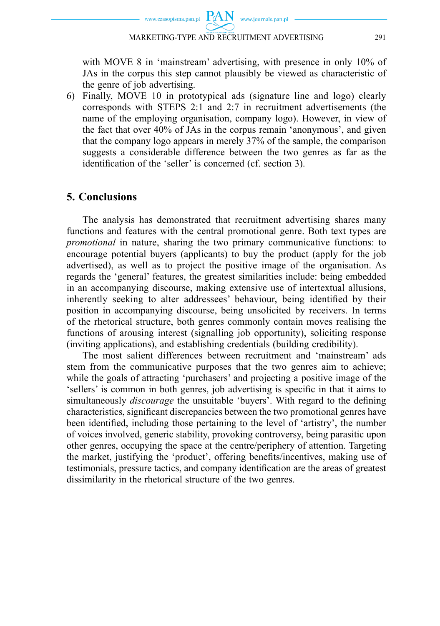with MOVE 8 in 'mainstream' advertising, with presence in only 10% of JAs in the corpus this step cannot plausibly be viewed as characteristic of the genre of job advertising.

6) Finally, MOVE 10 in prototypical ads (signature line and logo) clearly corresponds with STEPS 2:1 and 2:7 in recruitment advertisements (the name of the employing organisation, company logo). However, in view of the fact that over 40% of JAs in the corpus remain 'anonymous', and given that the company logo appears in merely 37% of the sample, the comparison suggests a considerable difference between the two genres as far as the identification of the 'seller' is concerned (cf. section 3).

# **5. Conclusions**

The analysis has demonstrated that recruitment advertising shares many functions and features with the central promotional genre. Both text types are *promotional* in nature, sharing the two primary communicative functions: to encourage potential buyers (applicants) to buy the product (apply for the job advertised), as well as to project the positive image of the organisation. As regards the 'general' features, the greatest similarities include: being embedded in an accompanying discourse, making extensive use of intertextual allusions, inherently seeking to alter addressees' behaviour, being identified by their position in accompanying discourse, being unsolicited by receivers. In terms of the rhetorical structure, both genres commonly contain moves realising the functions of arousing interest (signalling job opportunity), soliciting response (inviting applications), and establishing credentials (building credibility).

The most salient differences between recruitment and 'mainstream' ads stem from the communicative purposes that the two genres aim to achieve; while the goals of attracting 'purchasers' and projecting a positive image of the 'sellers' is common in both genres, job advertising is specific in that it aims to simultaneously *discourage* the unsuitable 'buyers'. With regard to the defining characteristics, significant discrepancies between the two promotional genres have been identified, including those pertaining to the level of 'artistry', the number of voices involved, generic stability, provoking controversy, being parasitic upon other genres, occupying the space at the centre/periphery of attention. Targeting the market, justifying the 'product', offering benefits/incentives, making use of testimonials, pressure tactics, and company identification are the areas of greatest dissimilarity in the rhetorical structure of the two genres.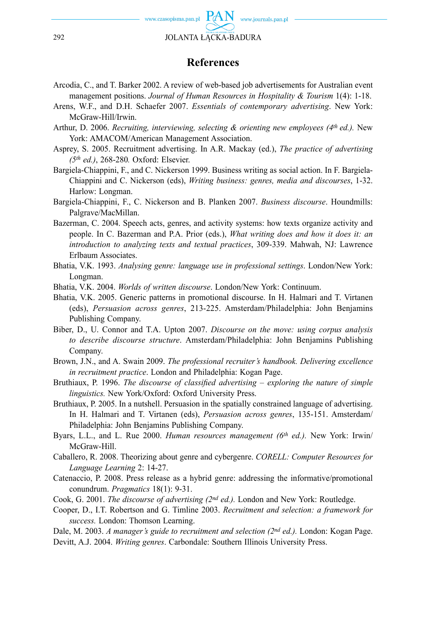

## **References**

- Arcodia, C., and T. Barker 2002. A review of web-based job advertisements for Australian event management positions. *Journal of Human Resources in Hospitality & Tourism* 1(4): 1-18.
- Arens, W.F., and D.H. Schaefer 2007. *Essentials of contemporary advertising*. New York: McGraw-Hill/Irwin.
- Arthur, D. 2006. *Recruiting, interviewing, selecting & orienting new employees (4th ed.).* New York: AMACOM/American Management Association.
- Asprey, S. 2005. Recruitment advertising. In A.R. Mackay (ed.), *The practice of advertising (5th ed.)*, 268-280*.* Oxford: Elsevier.
- Bargiela-Chiappini, F., and C. Nickerson 1999. Business writing as social action. In F. Bargiela-Chiappini and C. Nickerson (eds), *Writing business: genres, media and discourses*, 1-32. Harlow: Longman.
- Bargiela-Chiappini, F., C. Nickerson and B. Planken 2007. *Business discourse*. Houndmills: Palgrave/MacMillan.
- Bazerman, C. 2004. Speech acts, genres, and activity systems: how texts organize activity and people. In C. Bazerman and P.A. Prior (eds.), *What writing does and how it does it: an introduction to analyzing texts and textual practices*, 309-339. Mahwah, NJ: Lawrence Erlbaum Associates.
- Bhatia, V.K. 1993. *Analysing genre: language use in professional settings*. London/New York: Longman.
- Bhatia, V.K. 2004. *Worlds of written discourse*. London/New York: Continuum.
- Bhatia, V.K. 2005. Generic patterns in promotional discourse. In H. Halmari and T. Virtanen (eds), *Persuasion across genres*, 213-225. Amsterdam/Philadelphia: John Benjamins Publishing Company.
- Biber, D., U. Connor and T.A. Upton 2007. *Discourse on the move: using corpus analysis to describe discourse structure*. Amsterdam/Philadelphia: John Benjamins Publishing Company.
- Brown, J.N., and A. Swain 2009. *The professional recruiter's handbook. Delivering excellence in recruitment practice*. London and Philadelphia: Kogan Page.
- Bruthiaux, P. 1996. *The discourse of classified advertising exploring the nature of simple linguistics.* New York/Oxford: Oxford University Press.
- Bruthiaux, P. 2005. In a nutshell. Persuasion in the spatially constrained language of advertising. In H. Halmari and T. Virtanen (eds), *Persuasion across genres*, 135-151. Amsterdam/ Philadelphia: John Benjamins Publishing Company.
- Byars, L.L., and L. Rue 2000. *Human resources management (6th ed.).* New York: Irwin/ McGraw-Hill.
- Caballero, R. 2008. Theorizing about genre and cybergenre. *CORELL: Computer Resources for Language Learning* 2: 14-27.
- Catenaccio, P. 2008. Press release as a hybrid genre: addressing the informative/promotional conundrum. *Pragmatics* 18(1): 9-31.
- Cook, G. 2001. *The discourse of advertising (2nd ed.).* London and New York: Routledge.
- Cooper, D., I.T. Robertson and G. Timline 2003. *Recruitment and selection: a framework for success.* London: Thomson Learning.
- Dale, M. 2003. *A manager's guide to recruitment and selection (2nd ed.).* London: Kogan Page. Devitt, A.J. 2004. *Writing genres*. Carbondale: Southern Illinois University Press.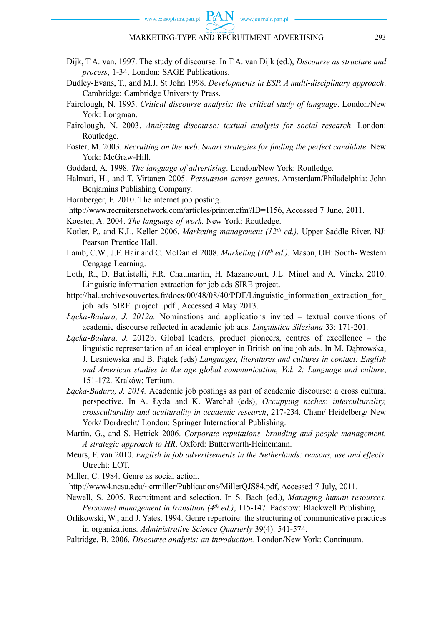- Dijk, T.A. van. 1997. The study of discourse. In T.A. van Dijk (ed.), *Discourse as structure and process*, 1-34. London: SAGE Publications.
- Dudley-Evans, T., and M.J. St John 1998. *Developments in ESP. A multi-disciplinary approach*. Cambridge: Cambridge University Press.
- Fairclough, N. 1995. *Critical discourse analysis: the critical study of language*. London/New York: Longman.
- Fairclough, N. 2003. *Analyzing discourse: textual analysis for social research*. London: Routledge.
- Foster, M. 2003. *Recruiting on the web. Smart strategies for finding the perfect candidate*. New York: McGraw-Hill.
- Goddard, A. 1998. *The language of advertising*. London/New York: Routledge.
- Halmari, H., and T. Virtanen 2005. *Persuasion across genres*. Amsterdam/Philadelphia: John Benjamins Publishing Company.
- Hornberger, F. 2010. The internet job posting.
- http://www.recruitersnetwork.com/articles/printer.cfm?ID=1156, Accessed 7 June, 2011.
- Koester, A. 2004. *The language of work*. New York: Routledge.
- Kotler, P., and K.L. Keller 2006. *Marketing management (12th ed.).* Upper Saddle River, NJ: Pearson Prentice Hall.
- Lamb, C.W., J.F. Hair and C. McDaniel 2008. *Marketing (10th ed.).* Mason, OH: South- Western Cengage Learning.
- Loth, R., D. Battistelli, F.R. Chaumartin, H. Mazancourt, J.L. Minel and A. Vinckx 2010. Linguistic information extraction for job ads SIRE project.
- http://hal.archivesouvertes.fr/docs/00/48/08/40/PDF/Linguistic\_information\_extraction\_for job\_ads\_SIRE\_project\_.pdf , Accessed 4 May 2013.
- *Łącka-Badura, J. 2012a.* Nominations and applications invited textual conventions of academic discourse refl ected in academic job ads. *Linguistica Silesiana* 33: 171-201.
- *Łącka-Badura, J.* 2012b. Global leaders, product pioneers, centres of excellence the linguistic representation of an ideal employer in British online job ads. In M. Dąbrowska, J. Leśniewska and B. Piątek (eds) *Languages, literatures and cultures in contact: English and American studies in the age global communication, Vol. 2: Language and culture*, 151-172. Kraków: Tertium.
- *Łącka-Badura, J. 2014.* Academic job postings as part of academic discourse: a cross cultural perspective. In A. Łyda and K. Warchał (eds), *Occupying niches*: *interculturality, crossculturality and aculturality in academic research*, 217-234. Cham/ Heidelberg/ New York/ Dordrecht/ London: Springer International Publishing.
- Martin, G., and S. Hetrick 2006. *Corporate reputations, branding and people management. A strategic approach to HR*. Oxford: Butterworth-Heinemann.
- Meurs, F. van 2010. *English in job advertisements in the Netherlands: reasons, use and effects*. Utrecht: LOT.
- Miller, C. 1984. Genre as social action.
- http://www4.ncsu.edu/~crmiller/Publications/MillerQJS84.pdf, Accessed 7 July, 2011.
- Newell, S. 2005. Recruitment and selection. In S. Bach (ed.), *Managing human resources. Personnel management in transition (4<sup>th</sup> ed.)*, 115-147. Padstow: Blackwell Publishing.
- Orlikowski, W., and J. Yates. 1994. Genre repertoire: the structuring of communicative practices in organizations. *Administrative Science Quarterly* 39(4): 541-574.
- Paltridge, B. 2006. *Discourse analysis: an introduction.* London/New York: Continuum.